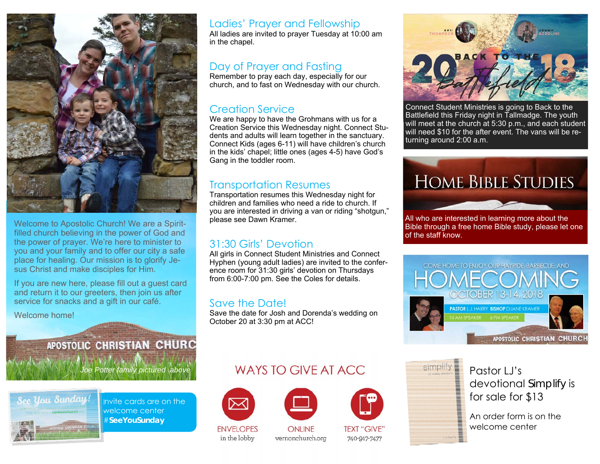

Welcome to Apostolic Church! We are a Spiritfilled church believing in the power of God and the power of prayer. We're here to minister to you and your family and to offer our city a safe place for healing. Our mission is to glorify Jesus Christ and make disciples for Him.

If you are new here, please fill out a guest card and return it to our greeters, then join us after service for snacks and a gift in our café.

Welcome home!

#### Ladies' Prayer and Fellowship

All ladies are invited to prayer Tuesday at 10:00 am in the chapel.

#### Day of Prayer and Fasting

Remember to pray each day, especially for our church, and to fast on Wednesday with our church.

#### Creation Service

We are happy to have the Grohmans with us for a Creation Service this Wednesday night. Connect Students and adults will learn together in the sanctuary. Connect Kids (ages 6-11) will have children's church in the kids' chapel; little ones (ages 4-5) have God's Gang in the toddler room.

#### Transportation Resumes

Transportation resumes this Wednesday night for children and families who need a ride to church. If you are interested in driving a van or riding "shotgun," please see Dawn Kramer.

#### 31:30 Girls' Devotion

All girls in Connect Student Ministries and Connect Hyphen (young adult ladies) are invited to the conference room for 31:30 girls' devotion on Thursdays from 6:00-7:00 pm. See the Coles for details.

#### Save the Date!

Save the date for Josh and Dorenda's wedding on October 20 at 3:30 pm at ACC!

## WAYS TO GIVE AT ACC.







TFXT ''GIVF' 740-917-7477



Connect Student Ministries is going to Back to the Battlefield this Friday night in Tallmadge. The youth will meet at the church at 5:30 p.m., and each student will need \$10 for the after event. The vans will be returning around 2:00 a.m.



All who are interested in learning more about the Bible through a free home Bible study, please let one of the staff know.



simalih

Pastor LJ's devotional *Simplify* is for sale for \$13

An order form is on the welcome center

**APOSTOLIC CHRISTIAN CHURC** 

*Joe Potter family pictured above* 



Invite cards are on the welcome center #**SeeYouSunday** 

**ENVELOPES** in the lobby

**ONI INF** vernonchurch.org